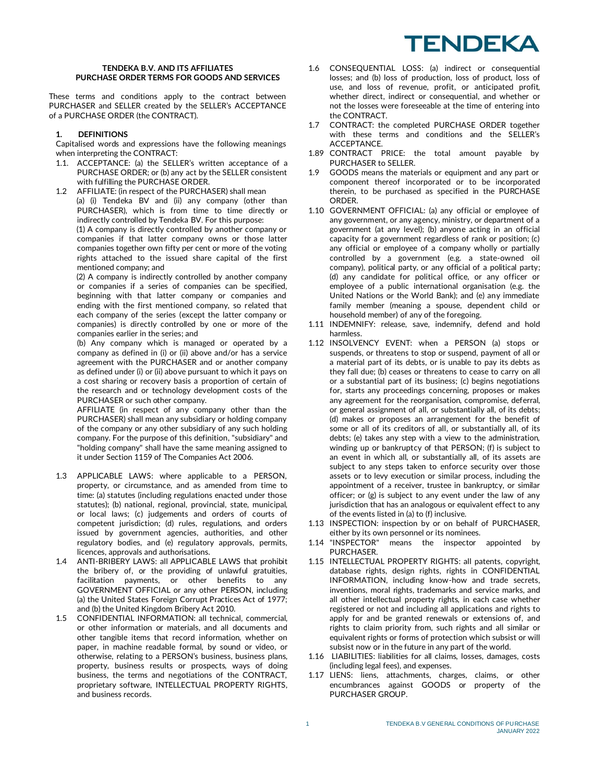#### **TENDEKA B.V. AND ITS AFFILIATES PURCHASE ORDER TERMS FOR GOODS AND SERVICES**

These terms and conditions apply to the contract between PURCHASER and SELLER created by the SELLER's ACCEPTANCE of a PURCHASE ORDER (the CONTRACT).

#### **1. DEFINITIONS**

Capitalised words and expressions have the following meanings when interpreting the CONTRACT:

- 1.1. ACCEPTANCE: (a) the SELLER's written acceptance of a PURCHASE ORDER; or (b) any act by the SELLER consistent with fulfilling the PURCHASE ORDER.
- 1.2 AFFILIATE: (in respect of the PURCHASER) shall mean (a) (i) Tendeka BV and (ii) any company (other than PURCHASER), which is from time to time directly or indirectly controlled by Tendeka BV. For this purpose: (1) A company is directly controlled by another company or companies if that latter company owns or those latter companies together own fifty per cent or more of the voting rights attached to the issued share capital of the first

mentioned company; and (2) A company is indirectly controlled by another company or companies if a series of companies can be specified, beginning with that latter company or companies and ending with the first mentioned company, so related that each company of the series (except the latter company or companies) is directly controlled by one or more of the companies earlier in the series; and

(b) Any company which is managed or operated by a company as defined in (i) or (ii) above and/or has a service agreement with the PURCHASER and or another company as defined under (i) or (ii) above pursuant to which it pays on a cost sharing or recovery basis a proportion of certain of the research and or technology development costs of the PURCHASER or such other company.

AFFILIATE (in respect of any company other than the PURCHASER) shall mean any subsidiary or holding company of the company or any other subsidiary of any such holding company. For the purpose of this definition, "subsidiary" and "holding company" shall have the same meaning assigned to it under Section 1159 of The Companies Act 2006.

- 1.3 APPLICABLE LAWS: where applicable to a PERSON, property, or circumstance, and as amended from time to time: (a) statutes (including regulations enacted under those statutes); (b) national, regional, provincial, state, municipal, or local laws; (c) judgements and orders of courts of competent jurisdiction; (d) rules, regulations, and orders issued by government agencies, authorities, and other regulatory bodies, and (e) regulatory approvals, permits, licences, approvals and authorisations.
- 1.4 ANTI-BRIBERY LAWS: all APPLICABLE LAWS that prohibit the bribery of, or the providing of unlawful gratuities, facilitation payments, or other benefits to any GOVERNMENT OFFICIAL or any other PERSON, including (a) the United States Foreign Corrupt Practices Act of 1977; and (b) the United Kingdom Bribery Act 2010.
- 1.5 CONFIDENTIAL INFORMATION: all technical, commercial, or other information or materials, and all documents and other tangible items that record information, whether on paper, in machine readable formal, by sound or video, or otherwise, relating to a PERSON's business, business plans, property, business results or prospects, ways of doing business, the terms and negotiations of the CONTRACT, proprietary software, INTELLECTUAL PROPERTY RIGHTS, and business records.
- 1.6 CONSEQUENTIAL LOSS: (a) indirect or consequential losses; and (b) loss of production, loss of product, loss of use, and loss of revenue, profit, or anticipated profit, whether direct, indirect or consequential, and whether or not the losses were foreseeable at the time of entering into the CONTRACT.
- 1.7 CONTRACT: the completed PURCHASE ORDER together with these terms and conditions and the SELLER's ACCEPTANCE.
- 1.89 CONTRACT PRICE: the total amount payable by PURCHASER to SELLER.
- 1.9 GOODS means the materials or equipment and any part or component thereof incorporated or to be incorporated therein, to be purchased as specified in the PURCHASE ORDER.
- 1.10 GOVERNMENT OFFICIAL: (a) any official or employee of any government, or any agency, ministry, or department of a government (at any level); (b) anyone acting in an official capacity for a government regardless of rank or position; (c) any official or employee of a company wholly or partially controlled by a government (e.g. a state-owned oil company), political party, or any official of a political party; (d) any candidate for political office, or any officer or employee of a public international organisation (e.g. the United Nations or the World Bank); and (e) any immediate family member (meaning a spouse, dependent child or household member) of any of the foregoing.
- 1.11 INDEMNIFY: release, save, indemnify, defend and hold harmless.
- 1.12 INSOLVENCY EVENT: when a PERSON (a) stops or suspends, or threatens to stop or suspend, payment of all or a material part of its debts, or is unable to pay its debts as they fall due; (b) ceases or threatens to cease to carry on all or a substantial part of its business; (c) begins negotiations for, starts any proceedings concerning, proposes or makes any agreement for the reorganisation, compromise, deferral, or general assignment of all, or substantially all, of its debts; (d) makes or proposes an arrangement for the benefit of some or all of its creditors of all, or substantially all, of its debts; (e) takes any step with a view to the administration, winding up or bankruptcy of that PERSON; (f) is subject to an event in which all, or substantially all, of its assets are subject to any steps taken to enforce security over those assets or to levy execution or similar process, including the appointment of a receiver, trustee in bankruptcy, or similar officer; or (g) is subject to any event under the law of any jurisdiction that has an analogous or equivalent effect to any of the events listed in (a) to (f) inclusive.
- 1.13 INSPECTION: inspection by or on behalf of PURCHASER, either by its own personnel or its nominees.<br>"INSPECTOR" means the inspector
- 1.14 "INSPECTOR" means the inspector appointed by PURCHASER.
- 1.15 INTELLECTUAL PROPERTY RIGHTS: all patents, copyright, database rights, design rights, rights in CONFIDENTIAL INFORMATION, including know-how and trade secrets, inventions, moral rights, trademarks and service marks, and all other intellectual property rights, in each case whether registered or not and including all applications and rights to apply for and be granted renewals or extensions of, and rights to claim priority from, such rights and all similar or equivalent rights or forms of protection which subsist or will subsist now or in the future in any part of the world.
- 1.16 LIABILITIES: liabilities for all claims, losses, damages, costs (including legal fees), and expenses.
- 1.17 LIENS: liens, attachments, charges, claims, or other encumbrances against GOODS or property of the PURCHASER GROUP.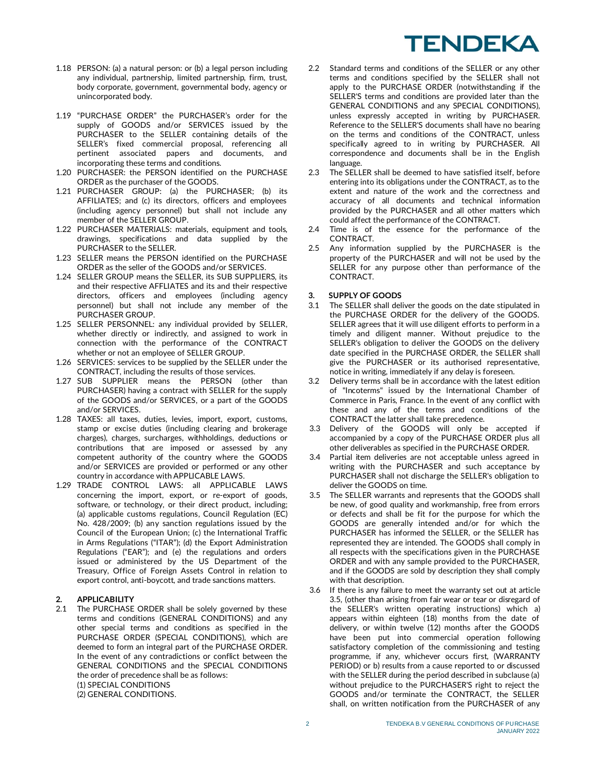- 1.18 PERSON: (a) a natural person: or (b) a legal person including any individual, partnership, limited partnership, firm, trust, body corporate, government, governmental body, agency or unincorporated body.
- 1.19 "PURCHASE ORDER" the PURCHASER's order for the supply of GOODS and/or SERVICES issued by the PURCHASER to the SELLER containing details of the SELLER's fixed commercial proposal, referencing all pertinent associated papers and documents, and incorporating these terms and conditions.
- 1.20 PURCHASER: the PERSON identified on the PURCHASE ORDER as the purchaser of the GOODS.
- 1.21 PURCHASER GROUP: (a) the PURCHASER; (b) its AFFILIATES; and (c) its directors, officers and employees (including agency personnel) but shall not include any member of the SELLER GROUP.
- 1.22 PURCHASER MATERIALS: materials, equipment and tools, drawings, specifications and data supplied by the PURCHASER to the SELLER.
- 1.23 SELLER means the PERSON identified on the PURCHASE ORDER as the seller of the GOODS and/or SERVICES.
- 1.24 SELLER GROUP means the SELLER, its SUB SUPPLIERS, its and their respective AFFLIATES and its and their respective directors, officers and employees (including agency personnel) but shall not include any member of the PURCHASER GROUP.
- 1.25 SELLER PERSONNEL: any individual provided by SELLER, whether directly or indirectly, and assigned to work in connection with the performance of the CONTRACT whether or not an employee of SELLER GROUP.
- 1.26 SERVICES: services to be supplied by the SELLER under the CONTRACT, including the results of those services.
- 1.27 SUB SUPPLIER means the PERSON (other than PURCHASER) having a contract with SELLER for the supply of the GOODS and/or SERVICES, or a part of the GOODS and/or SERVICES.
- 1.28 TAXES: all taxes, duties, levies, import, export, customs, stamp or excise duties (including clearing and brokerage charges), charges, surcharges, withholdings, deductions or contributions that are imposed or assessed by any competent authority of the country where the GOODS and/or SERVICES are provided or performed or any other country in accordance with APPLICABLE LAWS.
- 1.29 TRADE CONTROL LAWS: all APPLICABLE LAWS concerning the import, export, or re-export of goods, software, or technology, or their direct product, including; (a) applicable customs regulations, Council Regulation (EC) No. 428/2009; (b) any sanction regulations issued by the Council of the European Union; (c) the International Traffic in Arms Regulations ("ITAR"); (d) the Export Administration Regulations ("EAR"); and (e) the regulations and orders issued or administered by the US Department of the Treasury, Office of Foreign Assets Control in relation to export control, anti-boycott, and trade sanctions matters.

### **2. APPLICABILITY**

2.1 The PURCHASE ORDER shall be solely governed by these terms and conditions (GENERAL CONDITIONS) and any other special terms and conditions as specified in the PURCHASE ORDER (SPECIAL CONDITIONS), which are deemed to form an integral part of the PURCHASE ORDER. In the event of any contradictions or conflict between the GENERAL CONDITIONS and the SPECIAL CONDITIONS the order of precedence shall be as follows: (1) SPECIAL CONDITIONS (2) GENERAL CONDITIONS.

- 2.2 Standard terms and conditions of the SELLER or any other terms and conditions specified by the SELLER shall not apply to the PURCHASE ORDER (notwithstanding if the SELLER'S terms and conditions are provided later than the GENERAL CONDITIONS and any SPECIAL CONDITIONS), unless expressly accepted in writing by PURCHASER. Reference to the SELLER'S documents shall have no bearing on the terms and conditions of the CONTRACT, unless specifically agreed to in writing by PURCHASER. All correspondence and documents shall be in the English language.
- 2.3 The SELLER shall be deemed to have satisfied itself, before entering into its obligations under the CONTRACT, as to the extent and nature of the work and the correctness and accuracy of all documents and technical information provided by the PURCHASER and all other matters which could affect the performance of the CONTRACT.
- 2.4 Time is of the essence for the performance of the CONTRACT.
- 2.5 Any information supplied by the PURCHASER is the property of the PURCHASER and will not be used by the SELLER for any purpose other than performance of the CONTRACT.

## **3. SUPPLY OF GOODS**

- 3.1 The SELLER shall deliver the goods on the date stipulated in the PURCHASE ORDER for the delivery of the GOODS. SELLER agrees that it will use diligent efforts to perform in a timely and diligent manner. Without prejudice to the SELLER's obligation to deliver the GOODS on the delivery date specified in the PURCHASE ORDER, the SELLER shall give the PURCHASER or its authorised representative, notice in writing, immediately if any delay is foreseen.
- Delivery terms shall be in accordance with the latest edition of "Incoterms" issued by the International Chamber of Commerce in Paris, France. In the event of any conflict with these and any of the terms and conditions of the CONTRACT the latter shall take precedence.
- 3.3 Delivery of the GOODS will only be accepted if accompanied by a copy of the PURCHASE ORDER plus all other deliverables as specified in the PURCHASE ORDER.
- 3.4 Partial item deliveries are not acceptable unless agreed in writing with the PURCHASER and such acceptance by PURCHASER shall not discharge the SELLER's obligation to deliver the GOODS on time.
- 3.5 The SELLER warrants and represents that the GOODS shall be new, of good quality and workmanship, free from errors or defects and shall be fit for the purpose for which the GOODS are generally intended and/or for which the PURCHASER has informed the SELLER, or the SELLER has represented they are intended. The GOODS shall comply in all respects with the specifications given in the PURCHASE ORDER and with any sample provided to the PURCHASER, and if the GOODS are sold by description they shall comply with that description.
- 3.6 If there is any failure to meet the warranty set out at article 3.5, (other than arising from fair wear or tear or disregard of the SELLER's written operating instructions) which a) appears within eighteen (18) months from the date of delivery, or within twelve (12) months after the GOODS have been put into commercial operation following satisfactory completion of the commissioning and testing programme, if any, whichever occurs first, (WARRANTY PERIOD) or b) results from a cause reported to or discussed with the SELLER during the period described in subclause (a) without prejudice to the PURCHASER'S right to reject the GOODS and/or terminate the CONTRACT, the SELLER shall, on written notification from the PURCHASER of any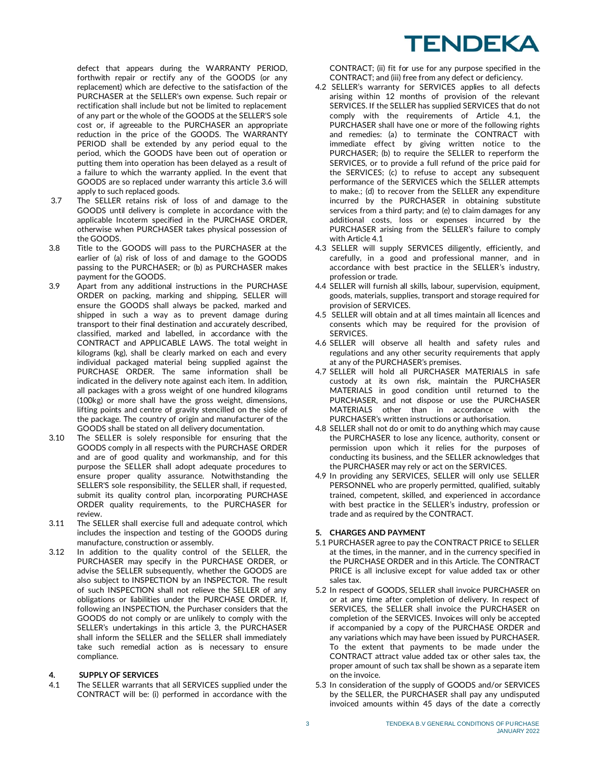defect that appears during the WARRANTY PERIOD, forthwith repair or rectify any of the GOODS (or any replacement) which are defective to the satisfaction of the PURCHASER at the SELLER's own expense. Such repair or rectification shall include but not be limited to replacement of any part or the whole of the GOODS at the SELLER'S sole cost or, if agreeable to the PURCHASER an appropriate reduction in the price of the GOODS. The WARRANTY PERIOD shall be extended by any period equal to the period, which the GOODS have been out of operation or putting them into operation has been delayed as a result of a failure to which the warranty applied. In the event that GOODS are so replaced under warranty this article 3.6 will apply to such replaced goods.

- 3.7 The SELLER retains risk of loss of and damage to the GOODS until delivery is complete in accordance with the applicable Incoterm specified in the PURCHASE ORDER, otherwise when PURCHASER takes physical possession of the GOODS.
- 3.8 Title to the GOODS will pass to the PURCHASER at the earlier of (a) risk of loss of and damage to the GOODS passing to the PURCHASER; or (b) as PURCHASER makes payment for the GOODS.
- 3.9 Apart from any additional instructions in the PURCHASE ORDER on packing, marking and shipping, SELLER will ensure the GOODS shall always be packed, marked and shipped in such a way as to prevent damage during transport to their final destination and accurately described, classified, marked and labelled, in accordance with the CONTRACT and APPLICABLE LAWS. The total weight in kilograms (kg), shall be clearly marked on each and every individual packaged material being supplied against the PURCHASE ORDER. The same information shall be indicated in the delivery note against each item. In addition, all packages with a gross weight of one hundred kilograms (100kg) or more shall have the gross weight, dimensions, lifting points and centre of gravity stencilled on the side of the package. The country of origin and manufacturer of the GOODS shall be stated on all delivery documentation.
- 3.10 The SELLER is solely responsible for ensuring that the GOODS comply in all respects with the PURCHASE ORDER and are of good quality and workmanship, and for this purpose the SELLER shall adopt adequate procedures to ensure proper quality assurance. Notwithstanding the SELLER'S sole responsibility, the SELLER shall, if requested, submit its quality control plan, incorporating PURCHASE ORDER quality requirements, to the PURCHASER for review.
- 3.11 The SELLER shall exercise full and adequate control, which includes the inspection and testing of the GOODS during manufacture, construction or assembly.
- 3.12 In addition to the quality control of the SELLER, the PURCHASER may specify in the PURCHASE ORDER, or advise the SELLER subsequently, whether the GOODS are also subject to INSPECTION by an INSPECTOR. The result of such INSPECTION shall not relieve the SELLER of any obligations or liabilities under the PURCHASE ORDER. If, following an INSPECTION, the Purchaser considers that the GOODS do not comply or are unlikely to comply with the SELLER's undertakings in this article 3, the PURCHASER shall inform the SELLER and the SELLER shall immediately take such remedial action as is necessary to ensure compliance.

## **4. SUPPLY OF SERVICES**

4.1 The SELLER warrants that all SERVICES supplied under the CONTRACT will be: (i) performed in accordance with the CONTRACT; (ii) fit for use for any purpose specified in the CONTRACT; and (iii) free from any defect or deficiency.

- 4.2 SELLER's warranty for SERVICES applies to all defects arising within 12 months of provision of the relevant SERVICES. If the SELLER has supplied SERVICES that do not comply with the requirements of Article 4.1, the PURCHASER shall have one or more of the following rights and remedies: (a) to terminate the CONTRACT with immediate effect by giving written notice to the PURCHASER; (b) to require the SELLER to reperform the SERVICES, or to provide a full refund of the price paid for the SERVICES; (c) to refuse to accept any subsequent performance of the SERVICES which the SELLER attempts to make.; (d) to recover from the SELLER any expenditure incurred by the PURCHASER in obtaining substitute services from a third party; and (e) to claim damages for any additional costs, loss or expenses incurred by the PURCHASER arising from the SELLER's failure to comply with Article 4.1
- 4.3 SELLER will supply SERVICES diligently, efficiently, and carefully, in a good and professional manner, and in accordance with best practice in the SELLER's industry, profession or trade.
- 4.4 SELLER will furnish all skills, labour, supervision, equipment, goods, materials, supplies, transport and storage required for provision of SERVICES.
- 4.5 SELLER will obtain and at all times maintain all licences and consents which may be required for the provision of SERVICES.
- 4.6 SELLER will observe all health and safety rules and regulations and any other security requirements that apply at any of the PURCHASER's premises.
- 4.7 SELLER will hold all PURCHASER MATERIALS in safe custody at its own risk, maintain the PURCHASER MATERIALS in good condition until returned to the PURCHASER, and not dispose or use the PURCHASER MATERIALS other than in accordance with the PURCHASER's written instructions or authorisation.
- 4.8 SELLER shall not do or omit to do anything which may cause the PURCHASER to lose any licence, authority, consent or permission upon which it relies for the purposes of conducting its business, and the SELLER acknowledges that the PURCHASER may rely or act on the SERVICES.
- 4.9 In providing any SERVICES, SELLER will only use SELLER PERSONNEL who are properly permitted, qualified, suitably trained, competent, skilled, and experienced in accordance with best practice in the SELLER's industry, profession or trade and as required by the CONTRACT.

### **5. CHARGES AND PAYMENT**

- 5.1 PURCHASER agree to pay the CONTRACT PRICE to SELLER at the times, in the manner, and in the currency specified in the PURCHASE ORDER and in this Article. The CONTRACT PRICE is all inclusive except for value added tax or other sales tax.
- 5.2 In respect of GOODS, SELLER shall invoice PURCHASER on or at any time after completion of delivery. In respect of SERVICES, the SELLER shall invoice the PURCHASER on completion of the SERVICES. Invoices will only be accepted if accompanied by a copy of the PURCHASE ORDER and any variations which may have been issued by PURCHASER. To the extent that payments to be made under the CONTRACT attract value added tax or other sales tax, the proper amount of such tax shall be shown as a separate item on the invoice.
- 5.3 In consideration of the supply of GOODS and/or SERVICES by the SELLER, the PURCHASER shall pay any undisputed invoiced amounts within 45 days of the date a correctly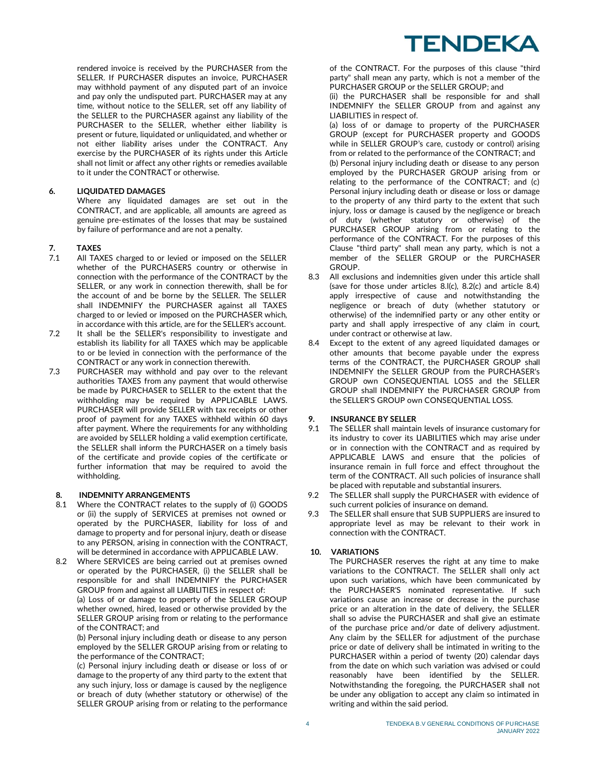rendered invoice is received by the PURCHASER from the SELLER. If PURCHASER disputes an invoice, PURCHASER may withhold payment of any disputed part of an invoice and pay only the undisputed part. PURCHASER may at any time, without notice to the SELLER, set off any liability of the SELLER to the PURCHASER against any liability of the PURCHASER to the SELLER, whether either liability is present or future, liquidated or unliquidated, and whether or not either liability arises under the CONTRACT. Any exercise by the PURCHASER of its rights under this Article shall not limit or affect any other rights or remedies available to it under the CONTRACT or otherwise.

# **6. LIQUIDATED DAMAGES**

Where any liquidated damages are set out in the CONTRACT, and are applicable, all amounts are agreed as genuine pre-estimates of the losses that may be sustained by failure of performance and are not a penalty.

# **7. TAXES**

- 7.1 All TAXES charged to or levied or imposed on the SELLER whether of the PURCHASERS country or otherwise in connection with the performance of the CONTRACT by the SELLER, or any work in connection therewith, shall be for the account of and be borne by the SELLER. The SELLER shall INDEMNIFY the PURCHASER against all TAXES charged to or levied or imposed on the PURCHASER which, in accordance with this article, are for the SELLER's account.
- 7.2 It shall be the SELLER's responsibility to investigate and establish its liability for all TAXES which may be applicable to or be levied in connection with the performance of the CONTRACT or any work in connection therewith.
- 7.3 PURCHASER may withhold and pay over to the relevant authorities TAXES from any payment that would otherwise be made by PURCHASER to SELLER to the extent that the withholding may be required by APPLICABLE LAWS. PURCHASER will provide SELLER with tax receipts or other proof of payment for any TAXES withheld within 60 days after payment. Where the requirements for any withholding are avoided by SELLER holding a valid exemption certificate, the SELLER shall inform the PURCHASER on a timely basis of the certificate and provide copies of the certificate or further information that may be required to avoid the withholding.

### **8. INDEMNITY ARRANGEMENTS**

- 8.1 Where the CONTRACT relates to the supply of (i) GOODS or (ii) the supply of SERVICES at premises not owned or operated by the PURCHASER, liability for loss of and damage to property and for personal injury, death or disease to any PERSON, arising in connection with the CONTRACT, will be determined in accordance with APPLICABLE LAW.
- 8.2 Where SERVICES are being carried out at premises owned or operated by the PURCHASER, (i) the SELLER shall be responsible for and shall INDEMNIFY the PURCHASER GROUP from and against all LIABILITIES in respect of: (a) Loss of or damage to property of the SELLER GROUP whether owned, hired, leased or otherwise provided by the SELLER GROUP arising from or relating to the performance of the CONTRACT; and

(b) Personal injury including death or disease to any person employed by the SELLER GROUP arising from or relating to the performance of the CONTRACT;

(c) Personal injury including death or disease or loss of or damage to the property of any third party to the extent that any such injury, loss or damage is caused by the negligence or breach of duty (whether statutory or otherwise) of the SELLER GROUP arising from or relating to the performance

of the CONTRACT. For the purposes of this clause "third party" shall mean any party, which is not a member of the PURCHASER GROUP or the SELLER GROUP; and

(ii) the PURCHASER shall be responsible for and shall INDEMNIFY the SELLER GROUP from and against any LIABILITIES in respect of.

(a) loss of or damage to property of the PURCHASER GROUP (except for PURCHASER property and GOODS while in SELLER GROUP's care, custody or control) arising from or related to the performance of the CONTRACT; and (b) Personal injury including death or disease to any person employed by the PURCHASER GROUP arising from or relating to the performance of the CONTRACT; and (c) Personal injury including death or disease or loss or damage to the property of any third party to the extent that such injury, loss or damage is caused by the negligence or breach of duty (whether statutory or otherwise) of the PURCHASER GROUP arising from or relating to the performance of the CONTRACT. For the purposes of this Clause "third party" shall mean any party, which is not a member of the SELLER GROUP or the PURCHASER GROUP.

- 8.3 All exclusions and indemnities given under this article shall (save for those under articles 8.l(c), 8.2(c) and article 8.4) apply irrespective of cause and notwithstanding the negligence or breach of duty (whether statutory or otherwise) of the indemnified party or any other entity or party and shall apply irrespective of any claim in court, under contract or otherwise at law.
- 8.4 Except to the extent of any agreed liquidated damages or other amounts that become payable under the express terms of the CONTRACT, the PURCHASER GROUP shall INDEMNIFY the SELLER GROUP from the PURCHASER's GROUP own CONSEQUENTIAL LOSS and the SELLER GROUP shall INDEMNIFY the PURCHASER GROUP from the SELLER'S GROUP own CONSEQUENTIAL LOSS.

### **9. INSURANCE BY SELLER**

- 9.1 The SELLER shall maintain levels of insurance customary for its industry to cover its LIABILITIES which may arise under or in connection with the CONTRACT and as required by APPLICABLE LAWS and ensure that the policies of insurance remain in full force and effect throughout the term of the CONTRACT. All such policies of insurance shall be placed with reputable and substantial insurers.
- 9.2 The SELLER shall supply the PURCHASER with evidence of such current policies of insurance on demand.
- 9.3 The SELLER shall ensure that SUB SUPPLIERS are insured to appropriate level as may be relevant to their work in connection with the CONTRACT.

# **10. VARIATIONS**

The PURCHASER reserves the right at any time to make variations to the CONTRACT. The SELLER shall only act upon such variations, which have been communicated by the PURCHASER'S nominated representative. If such variations cause an increase or decrease in the purchase price or an alteration in the date of delivery, the SELLER shall so advise the PURCHASER and shall give an estimate of the purchase price and/or date of delivery adjustment. Any claim by the SELLER for adjustment of the purchase price or date of delivery shall be intimated in writing to the PURCHASER within a period of twenty (20) calendar days from the date on which such variation was advised or could reasonably have been identified by the SELLER. Notwithstanding the foregoing, the PURCHASER shall not be under any obligation to accept any claim so intimated in writing and within the said period.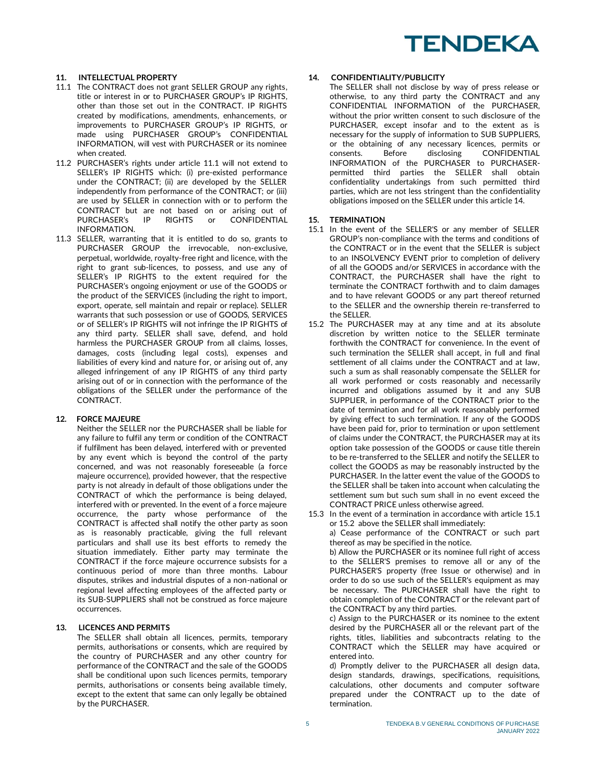### **11. INTELLECTUAL PROPERTY**

- 11.1 The CONTRACT does not grant SELLER GROUP any rights, title or interest in or to PURCHASER GROUP's IP RIGHTS, other than those set out in the CONTRACT. IP RIGHTS created by modifications, amendments, enhancements, or improvements to PURCHASER GROUP's IP RIGHTS, or made using PURCHASER GROUP's CONFIDENTIAL INFORMATION, will vest with PURCHASER or its nominee when created.
- 11.2 PURCHASER's rights under article 11.1 will not extend to SELLER's IP RIGHTS which: (i) pre-existed performance under the CONTRACT; (ii) are developed by the SELLER independently from performance of the CONTRACT; or (iii) are used by SELLER in connection with or to perform the CONTRACT but are not based on or arising out of<br>PURCHASER's IP RIGHTS or CONFIDENTIAL PURCHASER's IP RIGHTS or CONFIDENTIAL INFORMATION.
- 11.3 SELLER, warranting that it is entitled to do so, grants to PURCHASER GROUP the irrevocable, non-exclusive, perpetual, worldwide, royalty-free right and licence, with the right to grant sub-licences, to possess, and use any of SELLER's IP RIGHTS to the extent required for the PURCHASER's ongoing enjoyment or use of the GOODS or the product of the SERVICES (including the right to import, export, operate, sell maintain and repair or replace). SELLER warrants that such possession or use of GOODS, SERVICES or of SELLER's IP RIGHTS will not infringe the IP RIGHTS of any third party. SELLER shall save, defend, and hold harmless the PURCHASER GROUP from all claims, losses, damages, costs (including legal costs), expenses and liabilities of every kind and nature for, or arising out of, any alleged infringement of any IP RIGHTS of any third party arising out of or in connection with the performance of the obligations of the SELLER under the performance of the CONTRACT.

#### **12. FORCE MAJEURE**

Neither the SELLER nor the PURCHASER shall be liable for any failure to fulfil any term or condition of the CONTRACT if fulfilment has been delayed, interfered with or prevented by any event which is beyond the control of the party concerned, and was not reasonably foreseeable (a force majeure occurrence), provided however, that the respective party is not already in default of those obligations under the CONTRACT of which the performance is being delayed, interfered with or prevented. In the event of a force majeure occurrence, the party whose performance of the CONTRACT is affected shall notify the other party as soon as is reasonably practicable, giving the full relevant particulars and shall use its best efforts to remedy the situation immediately. Either party may terminate the CONTRACT if the force majeure occurrence subsists for a continuous period of more than three months. Labour disputes, strikes and industrial disputes of a non-national or regional level affecting employees of the affected party or its SUB-SUPPLIERS shall not be construed as force majeure occurrences.

## **13. LICENCES AND PERMITS**

The SELLER shall obtain all licences, permits, temporary permits, authorisations or consents, which are required by the country of PURCHASER and any other country for performance of the CONTRACT and the sale of the GOODS shall be conditional upon such licences permits, temporary permits, authorisations or consents being available timely, except to the extent that same can only legally be obtained by the PURCHASER.

#### **14. CONFIDENTIALITY/PUBLICITY**

The SELLER shall not disclose by way of press release or otherwise, to any third party the CONTRACT and any CONFIDENTIAL INFORMATION of the PURCHASER, without the prior written consent to such disclosure of the PURCHASER, except insofar and to the extent as is necessary for the supply of information to SUB SUPPLIERS, or the obtaining of any necessary licences, permits or consents. Before disclosing CONFIDENTIAL consents. Before disclosing CONFIDENTIAL INFORMATION of the PURCHASER to PURCHASERpermitted third parties the SELLER shall obtain confidentiality undertakings from such permitted third parties, which are not less stringent than the confidentiality obligations imposed on the SELLER under this article 14.

#### **15. TERMINATION**

- 15.1 In the event of the SELLER'S or any member of SELLER GROUP's non-compliance with the terms and conditions of the CONTRACT or in the event that the SELLER is subject to an INSOLVENCY EVENT prior to completion of delivery of all the GOODS and/or SERVICES in accordance with the CONTRACT, the PURCHASER shall have the right to terminate the CONTRACT forthwith and to claim damages and to have relevant GOODS or any part thereof returned to the SELLER and the ownership therein re-transferred to the SELLER.
- 15.2 The PURCHASER may at any time and at its absolute discretion by written notice to the SELLER terminate forthwith the CONTRACT for convenience. In the event of such termination the SELLER shall accept, in full and final settlement of all claims under the CONTRACT and at law, such a sum as shall reasonably compensate the SELLER for all work performed or costs reasonably and necessarily incurred and obligations assumed by it and any SUB SUPPLIER, in performance of the CONTRACT prior to the date of termination and for all work reasonably performed by giving effect to such termination. If any of the GOODS have been paid for, prior to termination or upon settlement of claims under the CONTRACT, the PURCHASER may at its option take possession of the GOODS or cause title therein to be re-transferred to the SELLER and notify the SELLER to collect the GOODS as may be reasonably instructed by the PURCHASER. In the latter event the value of the GOODS to the SELLER shall be taken into account when calculating the settlement sum but such sum shall in no event exceed the CONTRACT PRICE unless otherwise agreed.
- 15.3 In the event of a termination in accordance with article 15.1 or 15.2 above the SELLER shall immediately:

a) Cease performance of the CONTRACT or such part thereof as may be specified in the notice.

b) Allow the PURCHASER or its nominee full right of access to the SELLER'S premises to remove all or any of the PURCHASER'S property (free Issue or otherwise) and in order to do so use such of the SELLER's equipment as may be necessary. The PURCHASER shall have the right to obtain completion of the CONTRACT or the relevant part of the CONTRACT by any third parties.

c) Assign to the PURCHASER or its nominee to the extent desired by the PURCHASER all or the relevant part of the rights, titles, liabilities and subcontracts relating to the CONTRACT which the SELLER may have acquired or entered into.

d) Promptly deliver to the PURCHASER all design data, design standards, drawings, specifications, requisitions, calculations, other documents and computer software prepared under the CONTRACT up to the date of termination.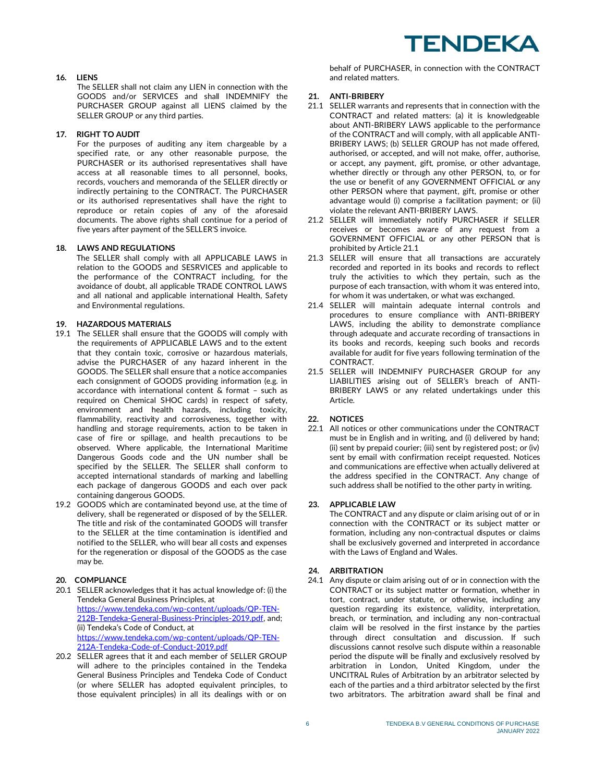## **16. LIENS**

The SELLER shall not claim any LIEN in connection with the GOODS and/or SERVICES and shall INDEMNIFY the PURCHASER GROUP against all LIENS claimed by the SELLER GROUP or any third parties.

## **17. RIGHT TO AUDIT**

For the purposes of auditing any item chargeable by a specified rate, or any other reasonable purpose, the PURCHASER or its authorised representatives shall have access at all reasonable times to all personnel, books, records, vouchers and memoranda of the SELLER directly or indirectly pertaining to the CONTRACT. The PURCHASER or its authorised representatives shall have the right to reproduce or retain copies of any of the aforesaid documents. The above rights shall continue for a period of five years after payment of the SELLER'S invoice.

## **18. LAWS AND REGULATIONS**

The SELLER shall comply with all APPLICABLE LAWS in relation to the GOODS and SESRVICES and applicable to the performance of the CONTRACT including, for the avoidance of doubt, all applicable TRADE CONTROL LAWS and all national and applicable international Health, Safety and Environmental regulations.

# **19. HAZARDOUS MATERIALS**

- 19.1 The SELLER shall ensure that the GOODS will comply with the requirements of APPLICABLE LAWS and to the extent that they contain toxic, corrosive or hazardous materials, advise the PURCHASER of any hazard inherent in the GOODS. The SELLER shall ensure that a notice accompanies each consignment of GOODS providing information (e.g. in accordance with international content & format – such as required on Chemical SHOC cards) in respect of safety, environment and health hazards, including toxicity, flammability, reactivity and corrosiveness, together with handling and storage requirements, action to be taken in case of fire or spillage, and health precautions to be observed. Where applicable, the International Maritime Dangerous Goods code and the UN number shall be specified by the SELLER. The SELLER shall conform to accepted international standards of marking and labelling each package of dangerous GOODS and each over pack containing dangerous GOODS.
- 19.2 GOODS which are contaminated beyond use, at the time of delivery, shall be regenerated or disposed of by the SELLER. The title and risk of the contaminated GOODS will transfer to the SELLER at the time contamination is identified and notified to the SELLER, who will bear all costs and expenses for the regeneration or disposal of the GOODS as the case may be.

# **20. COMPLIANCE**

- 20.1 SELLER acknowledges that it has actual knowledge of: (i) the Tendeka General Business Principles, at [https://www.tendeka.com/wp-content/uploads/QP-TEN-](https://www.tendeka.com/wp-content/uploads/QP-TEN-212B-Tendeka-General-Business-Principles-2019.pdf)[212B-Tendeka-General-Business-Principles-2019.pdf,](https://www.tendeka.com/wp-content/uploads/QP-TEN-212B-Tendeka-General-Business-Principles-2019.pdf) and; (ii) Tendeka's Code of Conduct, at [https://www.tendeka.com/wp-content/uploads/QP-TEN-](https://www.tendeka.com/wp-content/uploads/QP-TEN-212A-Tendeka-Code-of-Conduct-2019.pdf)[212A-Tendeka-Code-of-Conduct-2019.pdf](https://www.tendeka.com/wp-content/uploads/QP-TEN-212A-Tendeka-Code-of-Conduct-2019.pdf)
- 20.2 SELLER agrees that it and each member of SELLER GROUP will adhere to the principles contained in the Tendeka General Business Principles and Tendeka Code of Conduct (or where SELLER has adopted equivalent principles, to those equivalent principles) in all its dealings with or on

behalf of PURCHASER, in connection with the CONTRACT and related matters.

### **21. ANTI-BRIBERY**

- 21.1 SELLER warrants and represents that in connection with the CONTRACT and related matters: (a) it is knowledgeable about ANTI-BRIBERY LAWS applicable to the performance of the CONTRACT and will comply, with all applicable ANTI-BRIBERY LAWS; (b) SELLER GROUP has not made offered, authorised, or accepted, and will not make, offer, authorise, or accept, any payment, gift, promise, or other advantage, whether directly or through any other PERSON, to, or for the use or benefit of any GOVERNMENT OFFICIAL or any other PERSON where that payment, gift, promise or other advantage would (i) comprise a facilitation payment; or (ii) violate the relevant ANTI-BRIBERY LAWS.
- 21.2 SELLER will immediately notify PURCHASER if SELLER receives or becomes aware of any request from a GOVERNMENT OFFICIAL or any other PERSON that is prohibited by Article 21.1
- 21.3 SELLER will ensure that all transactions are accurately recorded and reported in its books and records to reflect truly the activities to which they pertain, such as the purpose of each transaction, with whom it was entered into, for whom it was undertaken, or what was exchanged.
- 21.4 SELLER will maintain adequate internal controls and procedures to ensure compliance with ANTI-BRIBERY LAWS, including the ability to demonstrate compliance through adequate and accurate recording of transactions in its books and records, keeping such books and records available for audit for five years following termination of the CONTRACT.
- 21.5 SELLER will INDEMNIFY PURCHASER GROUP for any LIABILITIES arising out of SELLER's breach of ANTI-BRIBERY LAWS or any related undertakings under this Article.

# **22. NOTICES**

22.1 All notices or other communications under the CONTRACT must be in English and in writing, and (i) delivered by hand; (ii) sent by prepaid courier; (iii) sent by registered post; or (iv) sent by email with confirmation receipt requested. Notices and communications are effective when actually delivered at the address specified in the CONTRACT. Any change of such address shall be notified to the other party in writing.

### **23. APPLICABLE LAW**

The CONTRACT and any dispute or claim arising out of or in connection with the CONTRACT or its subject matter or formation, including any non-contractual disputes or claims shall be exclusively governed and interpreted in accordance with the Laws of England and Wales.

# **24. ARBITRATION**

24.1 Any dispute or claim arising out of or in connection with the CONTRACT or its subject matter or formation, whether in tort, contract, under statute, or otherwise, including any question regarding its existence, validity, interpretation, breach, or termination, and including any non-contractual claim will be resolved in the first instance by the parties through direct consultation and discussion. If such discussions cannot resolve such dispute within a reasonable period the dispute will be finally and exclusively resolved by arbitration in London, United Kingdom, under the UNCITRAL Rules of Arbitration by an arbitrator selected by each of the parties and a third arbitrator selected by the first two arbitrators. The arbitration award shall be final and